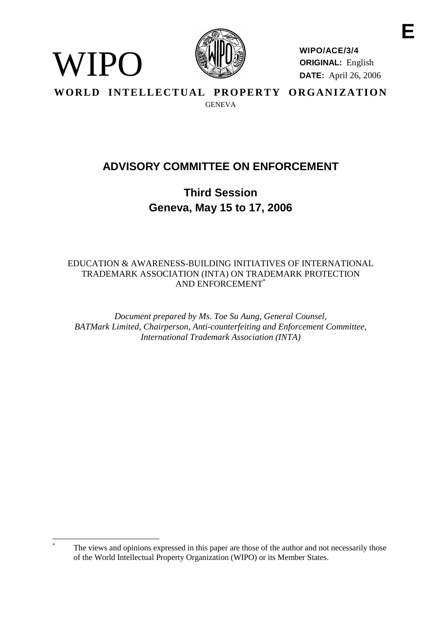

WIPO

**WIPO/ACE/3/4 ORIGINAL:** English **DATE:** April 26, 2006

WORLD INTELLECTUAL PROPERTY ORGANIZATION **GENEVA** 

# **ADVISORY COMMITTEE ON ENFORCEMENT**

**Third Session Geneva, May 15 to 17, 2006**

EDUCATION & AWARENESS-BUILDING INITIATIVES OF INTERNATIONAL TRADEMARK ASSOCIATION (INTA) ON TRADEMARK PROTECTION AND ENFORCEMENT\*

*Document prepared by Ms. Toe Su Aung, General Counsel, BATMark Limited, Chairperson, Anti-counterfeiting and Enforcement Committee, International Trademark Association (INTA)*

The views and opinions expressed in this paper are those of the author and not necessarily those of the World Intellectual Property Organization (WIPO) or its Member States.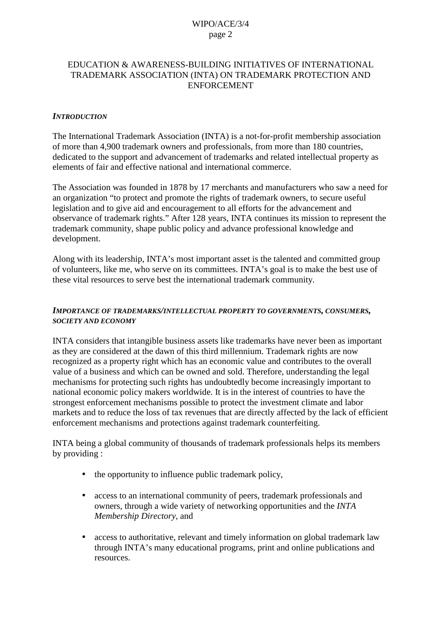### EDUCATION & AWARENESS-BUILDING INITIATIVES OF INTERNATIONAL TRADEMARK ASSOCIATION (INTA) ON TRADEMARK PROTECTION AND ENFORCEMENT

#### *INTRODUCTION*

The International Trademark Association (INTA) is a not-for-profit membership association of more than 4,900 trademark owners and professionals, from more than 180 countries, dedicated to the support and advancement of trademarks and related intellectual property as elements of fair and effective national and international commerce.

The Association was founded in 1878 by 17 merchants and manufacturers who saw a need for an organization "to protect and promote the rights of trademark owners, to secure useful legislation and to give aid and encouragement to all efforts for the advancement and observance of trademark rights." After 128 years, INTA continues its mission to represent the trademark community, shape public policy and advance professional knowledge and development.

Along with its leadership, INTA's most important asset is the talented and committed group of volunteers, like me, who serve on its committees. INTA's goal is to make the best use of these vital resources to serve best the international trademark community.

#### *IMPORTANCE OF TRADEMARKS/INTELLECTUAL PROPERTY TO GOVERNMENTS, CONSUMERS, SOCIETY AND ECONOMY*

INTA considers that intangible business assets like trademarks have never been as important as they are considered at the dawn of this third millennium. Trademark rights are now recognized as a property right which has an economic value and contributes to the overall value of a business and which can be owned and sold. Therefore, understanding the legal mechanisms for protecting such rights has undoubtedly become increasingly important to national economic policy makers worldwide. It is in the interest of countries to have the strongest enforcement mechanisms possible to protect the investment climate and labor markets and to reduce the loss of tax revenues that are directly affected by the lack of efficient enforcement mechanisms and protections against trademark counterfeiting.

INTA being a global community of thousands of trademark professionals helps its members by providing :

- the opportunity to influence public trademark policy,
- access to an international community of peers, trademark professionals and owners, through a wide variety of networking opportunities and the *INTA Membership Directory*, and
- access to authoritative, relevant and timely information on global trademark law through INTA's many educational programs, print and online publications and resources.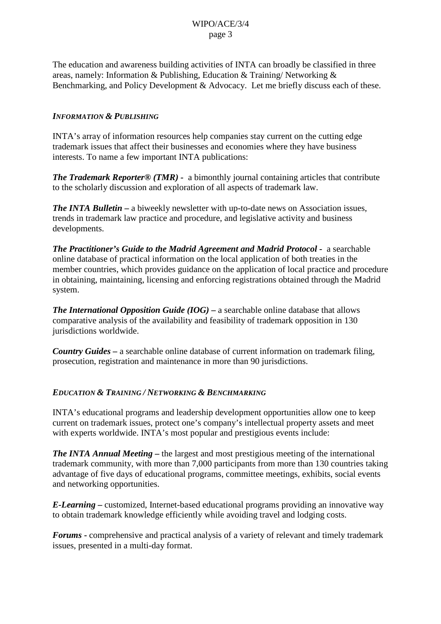The education and awareness building activities of INTA can broadly be classified in three areas, namely: Information & Publishing, Education & Training/ Networking & Benchmarking, and Policy Development & Advocacy. Let me briefly discuss each of these.

### *INFORMATION & PUBLISHING*

INTA's array of information resources help companies stay current on the cutting edge trademark issues that affect their businesses and economies where they have business interests. To name a few important INTA publications:

*The Trademark Reporter® (TMR) -* a bimonthly journal containing articles that contribute to the scholarly discussion and exploration of all aspects of trademark law.

*The INTA Bulletin –* a biweekly newsletter with up-to-date news on Association issues, trends in trademark law practice and procedure, and legislative activity and business developments.

*The Practitioner's Guide to the Madrid Agreement and Madrid Protocol -* a searchable online database of practical information on the local application of both treaties in the member countries, which provides guidance on the application of local practice and procedure in obtaining, maintaining, licensing and enforcing registrations obtained through the Madrid system.

*The International Opposition Guide (IOG) –* a searchable online database that allows comparative analysis of the availability and feasibility of trademark opposition in 130 jurisdictions worldwide.

*Country Guides –* a searchable online database of current information on trademark filing, prosecution, registration and maintenance in more than 90 jurisdictions.

### *EDUCATION & TRAINING / NETWORKING & BENCHMARKING*

INTA's educational programs and leadership development opportunities allow one to keep current on trademark issues, protect one's company's intellectual property assets and meet with experts worldwide. INTA's most popular and prestigious events include:

*The INTA Annual Meeting* **–** the largest and most prestigious meeting of the international trademark community, with more than 7,000 participants from more than 130 countries taking advantage of five days of educational programs, committee meetings, exhibits, social events and networking opportunities.

*E-Learning* **–** customized, Internet-based educational programs providing an innovative way to obtain trademark knowledge efficiently while avoiding travel and lodging costs.

*Forums* **-** comprehensive and practical analysis of a variety of relevant and timely trademark issues, presented in a multi-day format.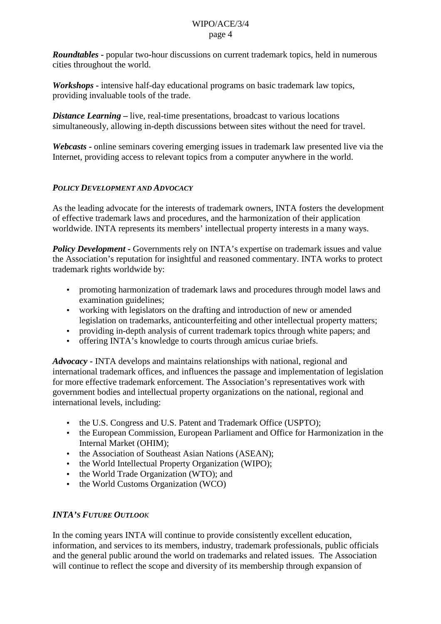*Roundtables* **-** popular two-hour discussions on current trademark topics, held in numerous cities throughout the world.

*Workshops* **-** intensive half-day educational programs on basic trademark law topics, providing invaluable tools of the trade.

*Distance Learning* – live, real-time presentations, broadcast to various locations simultaneously, allowing in-depth discussions between sites without the need for travel.

*Webcasts* **-** online seminars covering emerging issues in trademark law presented live via the Internet, providing access to relevant topics from a computer anywhere in the world.

### *POLICY DEVELOPMENT AND ADVOCACY*

As the leading advocate for the interests of trademark owners, INTA fosters the development of effective trademark laws and procedures, and the harmonization of their application worldwide. INTA represents its members' intellectual property interests in a many ways.

*Policy Development* **-** Governments rely on INTA's expertise on trademark issues and value the Association's reputation for insightful and reasoned commentary. INTA works to protect trademark rights worldwide by:

- promoting harmonization of trademark laws and procedures through model laws and examination guidelines;
- working with legislators on the drafting and introduction of new or amended legislation on trademarks, anticounterfeiting and other intellectual property matters;
- providing in-depth analysis of current trademark topics through white papers; and
- offering INTA's knowledge to courts through amicus curiae briefs.

*Advocacy* **-** INTA develops and maintains relationships with national, regional and international trademark offices, and influences the passage and implementation of legislation for more effective trademark enforcement. The Association's representatives work with government bodies and intellectual property organizations on the national, regional and international levels, including:

- the U.S. Congress and U.S. Patent and Trademark Office (USPTO);
- the European Commission, European Parliament and Office for Harmonization in the Internal Market (OHIM);
- the Association of Southeast Asian Nations (ASEAN);
- the World Intellectual Property Organization (WIPO);
- the World Trade Organization (WTO); and
- the World Customs Organization (WCO)

# *INTA'S FUTURE OUTLOOK*

In the coming years INTA will continue to provide consistently excellent education, information, and services to its members, industry, trademark professionals, public officials and the general public around the world on trademarks and related issues. The Association will continue to reflect the scope and diversity of its membership through expansion of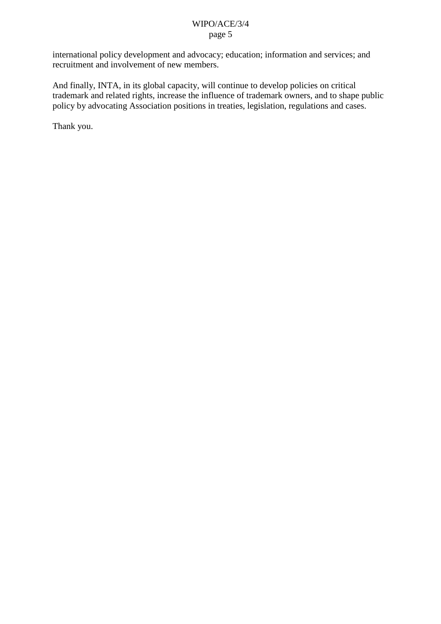international policy development and advocacy; education; information and services; and recruitment and involvement of new members.

And finally, INTA, in its global capacity, will continue to develop policies on critical trademark and related rights, increase the influence of trademark owners, and to shape public policy by advocating Association positions in treaties, legislation, regulations and cases.

Thank you.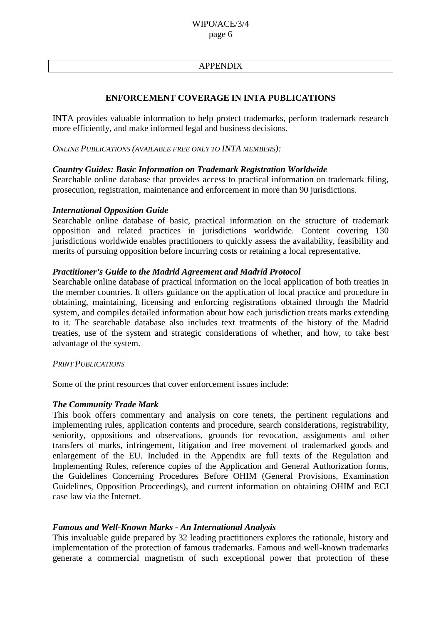### APPENDIX

### **ENFORCEMENT COVERAGE IN INTA PUBLICATIONS**

INTA provides valuable information to help protect trademarks, perform trademark research more efficiently, and make informed legal and business decisions.

*ONLINE PUBLICATIONS (AVAILABLE FREE ONLY TO INTA MEMBERS):*

#### *Country Guides: Basic Information on Trademark Registration Worldwide*

Searchable online database that provides access to practical information on trademark filing, prosecution, registration, maintenance and enforcement in more than 90 jurisdictions.

#### *International Opposition Guide*

Searchable online database of basic, practical information on the structure of trademark opposition and related practices in jurisdictions worldwide. Content covering 130 iurisdictions worldwide enables practitioners to quickly assess the availability, feasibility and merits of pursuing opposition before incurring costs or retaining a local representative.

#### *Practitioner's Guide to the Madrid Agreement and Madrid Protocol*

Searchable online database of practical information on the local application of both treaties in the member countries. It offers guidance on the application of local practice and procedure in obtaining, maintaining, licensing and enforcing registrations obtained through the Madrid system, and compiles detailed information about how each jurisdiction treats marks extending to it. The searchable database also includes text treatments of the history of the Madrid treaties, use of the system and strategic considerations of whether, and how, to take best advantage of the system.

#### *PRINT PUBLICATIONS*

Some of the print resources that cover enforcement issues include:

#### *The Community Trade Mark*

This book offers commentary and analysis on core tenets, the pertinent regulations and implementing rules, application contents and procedure, search considerations, registrability, seniority, oppositions and observations, grounds for revocation, assignments and other transfers of marks, infringement, litigation and free movement of trademarked goods and enlargement of the EU. Included in the Appendix are full texts of the Regulation and Implementing Rules, reference copies of the Application and General Authorization forms, the Guidelines Concerning Procedures Before OHIM (General Provisions, Examination Guidelines, Opposition Proceedings), and current information on obtaining OHIM and ECJ case law via the Internet.

#### *Famous and Well-Known Marks - An International Analysis*

This invaluable guide prepared by 32 leading practitioners explores the rationale, history and implementation of the protection of famous trademarks. Famous and well-known trademarks generate a commercial magnetism of such exceptional power that protection of these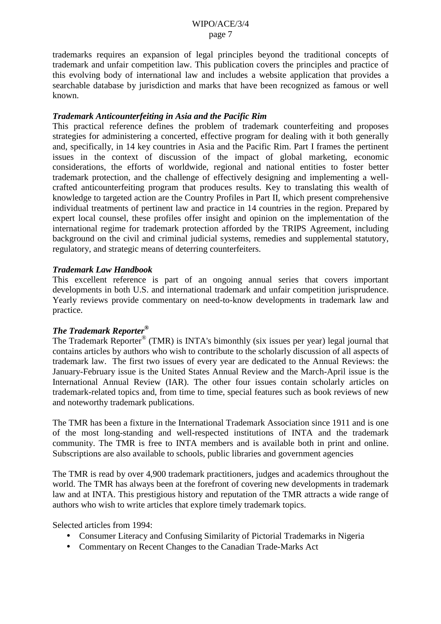trademarks requires an expansion of legal principles beyond the traditional concepts of trademark and unfair competition law. This publication covers the principles and practice of this evolving body of international law and includes a website application that provides a searchable database by jurisdiction and marks that have been recognized as famous or well known.

### *Trademark Anticounterfeiting in Asia and the Pacific Rim*

This practical reference defines the problem of trademark counterfeiting and proposes strategies for administering a concerted, effective program for dealing with it both generally and, specifically, in 14 key countries in Asia and the Pacific Rim. Part I frames the pertinent issues in the context of discussion of the impact of global marketing, economic considerations, the efforts of worldwide, regional and national entities to foster better trademark protection, and the challenge of effectively designing and implementing a wellcrafted anticounterfeiting program that produces results. Key to translating this wealth of knowledge to targeted action are the Country Profiles in Part II, which present comprehensive individual treatments of pertinent law and practice in 14 countries in the region. Prepared by expert local counsel, these profiles offer insight and opinion on the implementation of the international regime for trademark protection afforded by the TRIPS Agreement, including background on the civil and criminal judicial systems, remedies and supplemental statutory, regulatory, and strategic means of deterring counterfeiters.

#### *Trademark Law Handbook*

This excellent reference is part of an ongoing annual series that covers important developments in both U.S. and international trademark and unfair competition jurisprudence. Yearly reviews provide commentary on need-to-know developments in trademark law and practice.

### *The Trademark Reporter®*

The Trademark Reporter® (TMR) is INTA's bimonthly (six issues per year) legal journal that contains articles by authors who wish to contribute to the scholarly discussion of all aspects of trademark law. The first two issues of every year are dedicated to the Annual Reviews: the January-February issue is the United States Annual Review and the March-April issue is the International Annual Review (IAR). The other four issues contain scholarly articles on trademark-related topics and, from time to time, special features such as book reviews of new and noteworthy trademark publications.

The TMR has been a fixture in the International Trademark Association since 1911 and is one of the most long-standing and well-respected institutions of INTA and the trademark community. The TMR is free to INTA members and is available both in print and online. Subscriptions are also available to schools, public libraries and government agencies

The TMR is read by over 4,900 trademark practitioners, judges and academics throughout the world. The TMR has always been at the forefront of covering new developments in trademark law and at INTA. This prestigious history and reputation of the TMR attracts a wide range of authors who wish to write articles that explore timely trademark topics.

Selected articles from 1994:

- Consumer Literacy and Confusing Similarity of Pictorial Trademarks in Nigeria
- Commentary on Recent Changes to the Canadian Trade-Marks Act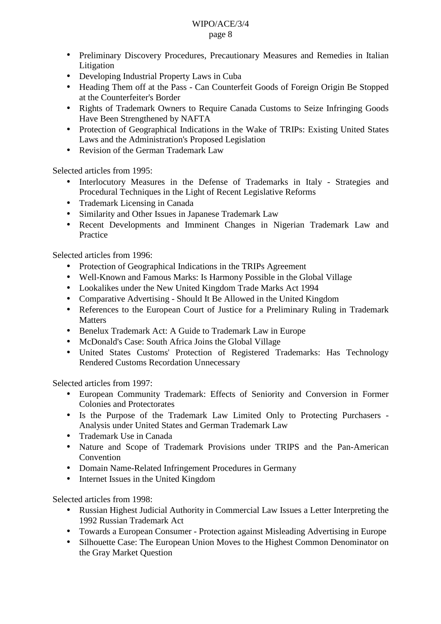- Preliminary Discovery Procedures, Precautionary Measures and Remedies in Italian Litigation
- Developing Industrial Property Laws in Cuba
- Heading Them off at the Pass Can Counterfeit Goods of Foreign Origin Be Stopped at the Counterfeiter's Border
- Rights of Trademark Owners to Require Canada Customs to Seize Infringing Goods Have Been Strengthened by NAFTA
- Protection of Geographical Indications in the Wake of TRIPs: Existing United States Laws and the Administration's Proposed Legislation
- Revision of the German Trademark Law

Selected articles from 1995:

- Interlocutory Measures in the Defense of Trademarks in Italy Strategies and Procedural Techniques in the Light of Recent Legislative Reforms
- Trademark Licensing in Canada
- Similarity and Other Issues in Japanese Trademark Law
- Recent Developments and Imminent Changes in Nigerian Trademark Law and Practice

Selected articles from 1996:

- Protection of Geographical Indications in the TRIPs Agreement
- Well-Known and Famous Marks: Is Harmony Possible in the Global Village
- Lookalikes under the New United Kingdom Trade Marks Act 1994
- Comparative Advertising Should It Be Allowed in the United Kingdom
- References to the European Court of Justice for a Preliminary Ruling in Trademark Matters
- Benelux Trademark Act: A Guide to Trademark Law in Europe
- McDonald's Case: South Africa Joins the Global Village
- United States Customs' Protection of Registered Trademarks: Has Technology Rendered Customs Recordation Unnecessary

Selected articles from 1997:

- European Community Trademark: Effects of Seniority and Conversion in Former Colonies and Protectorates
- Is the Purpose of the Trademark Law Limited Only to Protecting Purchasers Analysis under United States and German Trademark Law
- Trademark Use in Canada
- Nature and Scope of Trademark Provisions under TRIPS and the Pan-American Convention
- Domain Name-Related Infringement Procedures in Germany
- Internet Issues in the United Kingdom

Selected articles from 1998:

- Russian Highest Judicial Authority in Commercial Law Issues a Letter Interpreting the 1992 Russian Trademark Act
- Towards a European Consumer Protection against Misleading Advertising in Europe
- Silhouette Case: The European Union Moves to the Highest Common Denominator on the Gray Market Question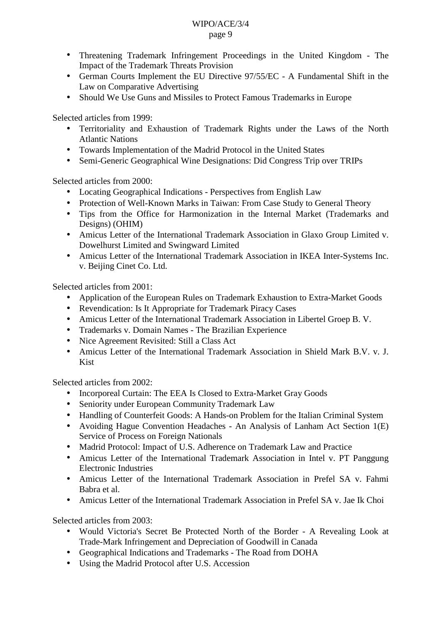- Threatening Trademark Infringement Proceedings in the United Kingdom The Impact of the Trademark Threats Provision
- German Courts Implement the EU Directive 97/55/EC A Fundamental Shift in the Law on Comparative Advertising
- Should We Use Guns and Missiles to Protect Famous Trademarks in Europe

Selected articles from 1999:

- Territoriality and Exhaustion of Trademark Rights under the Laws of the North Atlantic Nations
- Towards Implementation of the Madrid Protocol in the United States
- Semi-Generic Geographical Wine Designations: Did Congress Trip over TRIPs

Selected articles from 2000:

- Locating Geographical Indications Perspectives from English Law
- Protection of Well-Known Marks in Taiwan: From Case Study to General Theory
- Tips from the Office for Harmonization in the Internal Market (Trademarks and Designs) (OHIM)
- Amicus Letter of the International Trademark Association in Glaxo Group Limited v. Dowelhurst Limited and Swingward Limited
- Amicus Letter of the International Trademark Association in IKEA Inter-Systems Inc. v. Beijing Cinet Co. Ltd.

Selected articles from 2001:

- Application of the European Rules on Trademark Exhaustion to Extra-Market Goods
- Revendication: Is It Appropriate for Trademark Piracy Cases
- Amicus Letter of the International Trademark Association in Libertel Groep B. V.
- Trademarks v. Domain Names The Brazilian Experience
- Nice Agreement Revisited: Still a Class Act
- Amicus Letter of the International Trademark Association in Shield Mark B.V. v. J. Kist

Selected articles from 2002:

- Incorporeal Curtain: The EEA Is Closed to Extra-Market Gray Goods
- Seniority under European Community Trademark Law
- Handling of Counterfeit Goods: A Hands-on Problem for the Italian Criminal System
- Avoiding Hague Convention Headaches An Analysis of Lanham Act Section 1(E) Service of Process on Foreign Nationals
- Madrid Protocol: Impact of U.S. Adherence on Trademark Law and Practice
- Amicus Letter of the International Trademark Association in Intel v. PT Panggung Electronic Industries
- Amicus Letter of the International Trademark Association in Prefel SA v. Fahmi Babra et al.
- Amicus Letter of the International Trademark Association in Prefel SA v. Jae Ik Choi

Selected articles from 2003:

- Would Victoria's Secret Be Protected North of the Border A Revealing Look at Trade-Mark Infringement and Depreciation of Goodwill in Canada
- Geographical Indications and Trademarks The Road from DOHA
- Using the Madrid Protocol after U.S. Accession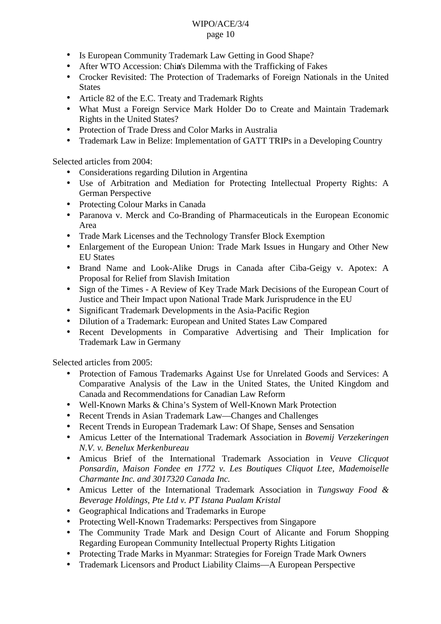- Is European Community Trademark Law Getting in Good Shape?
- After WTO Accession: Chin's Dilemma with the Trafficking of Fakes
- Crocker Revisited: The Protection of Trademarks of Foreign Nationals in the United **States**
- Article 82 of the E.C. Treaty and Trademark Rights
- What Must a Foreign Service Mark Holder Do to Create and Maintain Trademark Rights in the United States?
- Protection of Trade Dress and Color Marks in Australia
- Trademark Law in Belize: Implementation of GATT TRIPs in a Developing Country

Selected articles from 2004:

- Considerations regarding Dilution in Argentina
- Use of Arbitration and Mediation for Protecting Intellectual Property Rights: A German Perspective
- Protecting Colour Marks in Canada
- Paranova v. Merck and Co-Branding of Pharmaceuticals in the European Economic Area
- Trade Mark Licenses and the Technology Transfer Block Exemption
- Enlargement of the European Union: Trade Mark Issues in Hungary and Other New EU States
- Brand Name and Look-Alike Drugs in Canada after Ciba-Geigy v. Apotex: A Proposal for Relief from Slavish Imitation
- Sign of the Times A Review of Key Trade Mark Decisions of the European Court of Justice and Their Impact upon National Trade Mark Jurisprudence in the EU
- Significant Trademark Developments in the Asia-Pacific Region
- Dilution of a Trademark: European and United States Law Compared
- Recent Developments in Comparative Advertising and Their Implication for Trademark Law in Germany

Selected articles from 2005:

- Protection of Famous Trademarks Against Use for Unrelated Goods and Services: A Comparative Analysis of the Law in the United States, the United Kingdom and Canada and Recommendations for Canadian Law Reform
- Well-Known Marks & China's System of Well-Known Mark Protection
- Recent Trends in Asian Trademark Law—Changes and Challenges
- Recent Trends in European Trademark Law: Of Shape, Senses and Sensation
- Amicus Letter of the International Trademark Association in *Bovemij Verzekeringen N.V. v. Benelux Merkenbureau*
- Amicus Brief of the International Trademark Association in *Veuve Clicquot Ponsardin, Maison Fondee en 1772 v. Les Boutiques Cliquot Ltee, Mademoiselle Charmante Inc. and 3017320 Canada Inc.*
- Amicus Letter of the International Trademark Association in *Tungsway Food & Beverage Holdings, Pte Ltd v. PT Istana Pualam Kristal*
- Geographical Indications and Trademarks in Europe
- Protecting Well-Known Trademarks: Perspectives from Singapore
- The Community Trade Mark and Design Court of Alicante and Forum Shopping Regarding European Community Intellectual Property Rights Litigation
- Protecting Trade Marks in Myanmar: Strategies for Foreign Trade Mark Owners
- Trademark Licensors and Product Liability Claims—A European Perspective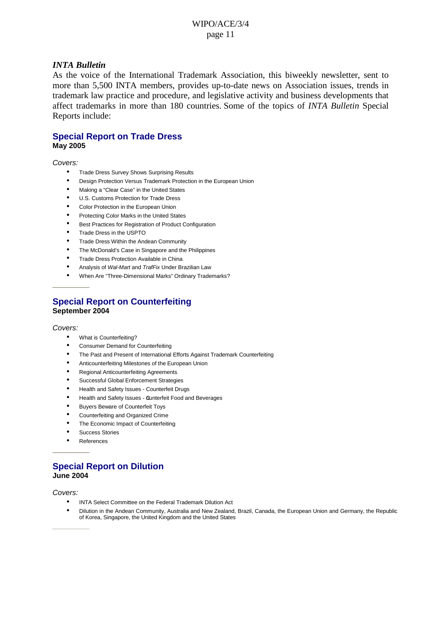#### *INTA Bulletin*

As the voice of the International Trademark Association, this biweekly newsletter, sent to more than 5,500 INTA members, provides up-to-date news on Association issues, trends in trademark law practice and procedure, and legislative activity and business developments that affect trademarks in more than 180 countries. Some of the topics of *INTA Bulletin* Special Reports include:

#### **Special Report on Trade Dress May 2005**

#### Covers:

- Trade Dress Survey Shows Surprising Results
- Design Protection Versus Trademark Protection in the European Union
- Making a "Clear Case" in the United States
- U.S. Customs Protection for Trade Dress
- Color Protection in the European Union
- Protecting Color Marks in the United States
- Best Practices for Registration of Product Configuration
- Trade Dress in the USPTO
- Trade Dress Within the Andean Community
- The McDonald's Case in Singapore and the Philippines
- Trade Dress Protection Available in China
- Analysis of Wal-Mart and TrafFix Under Brazilian Law
- When Are "Three-Dimensional Marks" Ordinary Trademarks?

#### **Special Report on Counterfeiting September 2004**

#### Covers:

- What is Counterfeiting?
- Consumer Demand for Counterfeiting
- The Past and Present of International Efforts Against Trademark Counterfeiting
- Anticounterfeiting Milestones of the European Union
- Regional Anticounterfeiting Agreements
- Successful Global Enforcement Strategies
- Health and Safety Issues Counterfeit Drugs
- Health and Safety Issues Qunterfeit Food and Beverages
- Buyers Beware of Counterfeit Toys
- Counterfeiting and Organized Crime
- The Economic Impact of Counterfeiting
- Success Stories
- **References**

### **Special Report on Dilution June 2004**

Covers:

- INTA Select Committee on the Federal Trademark Dilution Act
- Dilution in the Andean Community, Australia and New Zealand, Brazil, Canada, the European Union and Germany, the Republic of Korea, Singapore, the United Kingdom and the United States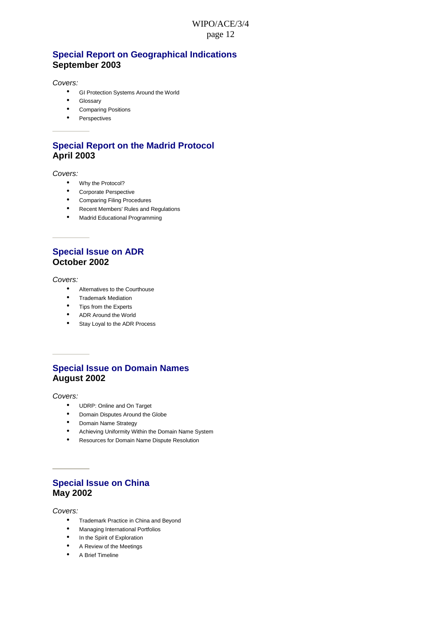### **Special Report on Geographical Indications September 2003**

Covers:

- GI Protection Systems Around the World
- Glossary
- Comparing Positions
- Perspectives

### **Special Report on the Madrid Protocol April 2003**

Covers:

- Why the Protocol?
- Corporate Perspective
- Comparing Filing Procedures
- Recent Members' Rules and Regulations
- Madrid Educational Programming

### **Special Issue on ADR October 2002**

Covers:

- Alternatives to the Courthouse
- Trademark Mediation
- Tips from the Experts
- ADR Around the World
- Stay Loyal to the ADR Process

### **Special Issue on Domain Names August 2002**

Covers:

- UDRP: Online and On Target
- Domain Disputes Around the Globe
- Domain Name Strategy
- Achieving Uniformity Within the Domain Name System
- Resources for Domain Name Dispute Resolution

### **Special Issue on China May 2002**

Covers:

- Trademark Practice in China and Beyond
- Managing International Portfolios
- In the Spirit of Exploration
- A Review of the Meetings
- A Brief Timeline